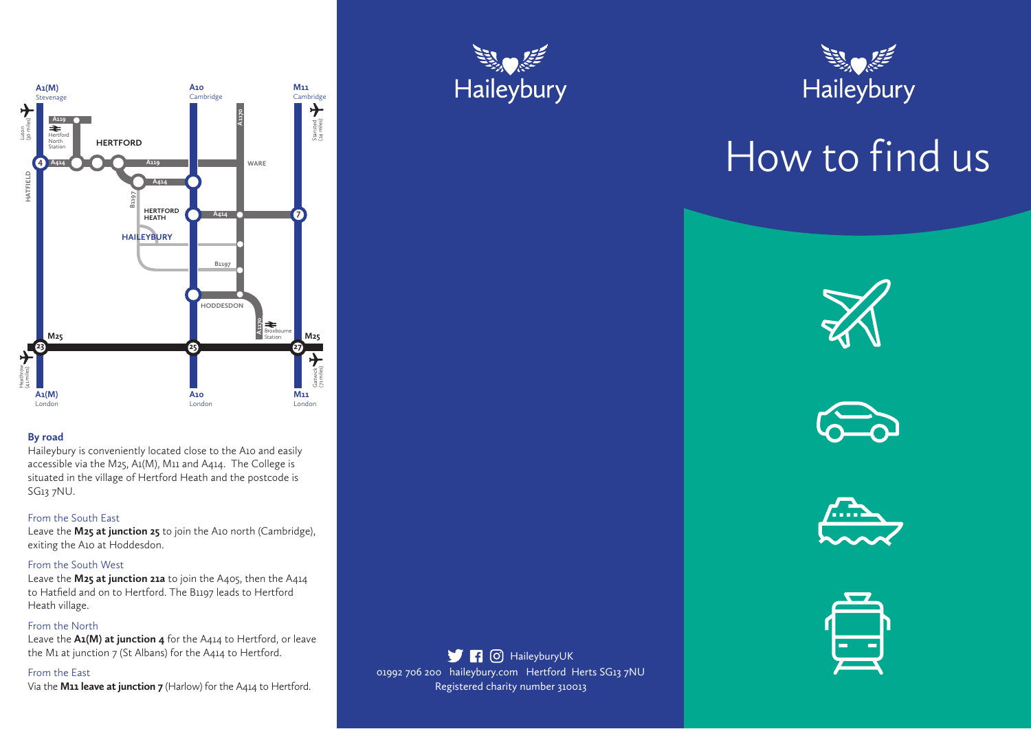

## **By road**

Haileybury is conveniently located close to the A10 and easily accessible via the M25, A1(M), M11 and A414. The College is situated in the village of Hertford Heath and the postcode is SG13 7NU.

# From the South East

Leave the **M25 at junction 25** to join the A10 north (Cambridge), exiting the A10 at Hoddesdon.

## From the South West

Leave the **M25 at junction 21a** to join the A405, then the A414 to Hatfield and on to Hertford. The B1197 leads to Hertford Heath village.

# From the North

Leave the **A1(M) at junction 4** for the A414 to Hertford, or leave the M1 at junction 7 (St Albans) for the A414 to Hertford.

## From the East

Via the **M11 leave at junction 7** (Harlow) for the A414 to Hertford.





# How to find us How to find us









# 01992 706 200 haileybury.com Hertford Herts SG13 7NU Registered charity number 310013 **H** O HaileyburyUK